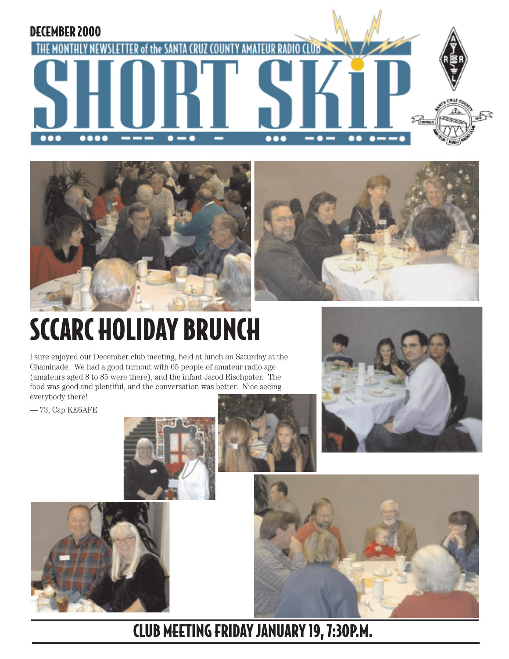**THE MONTHLY** 







# SCCARC HOLIDAY BRUNCH

I sure enjoyed our December club meeting, held at lunch on Saturday at the Chaminade. We had a good turnout with 65 people of amateur radio age (amateurs aged 8 to 85 were there), and the infant Jarod Rischpater. The food was good and plentiful, and the conversation was better. Nice seeing everybody there!

— 73, Cap KE6AFE

DECEMBER 2000











CLUB MEETING FRIDAY JANUARY 19, 7:30P.M.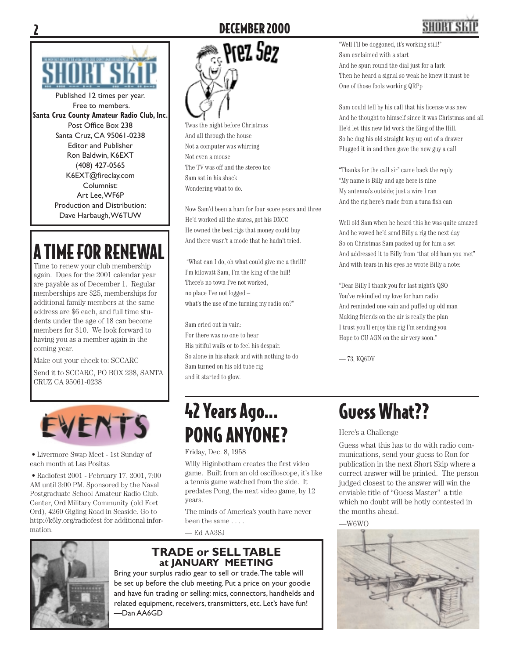

Published 12 times per year. Free to members. **Santa Cruz County Amateur Radio Club, Inc.** Post Office Box 238 Santa Cruz, CA 95061-0238 Editor and Publisher Ron Baldwin, K6EXT (408) 427-0565 K6EXT@fireclay.com Columnist: Art Lee, WF6P Production and Distribution: Dave Harbaugh, W6TUW

## A TIME FOR RENEWAL

Time to renew your club membership again. Dues for the 2001 calendar year are payable as of December 1. Regular memberships are \$25, memberships for additional family members at the same address are \$6 each, and full time students under the age of 18 can become members for \$10. We look forward to having you as a member again in the coming year.

Make out your check to: SCCARC

Send it to SCCARC, PO BOX 238, SANTA CRUZ CA 95061-0238



• Livermore Swap Meet - 1st Sunday of each month at Las Positas

• Radiofest 2001 - February 17, 2001, 7:00 AM until 3:00 PM. Sponsored by the Naval Postgraduate School Amateur Radio Club. Center, Ord Military Community (old Fort Ord), 4260 Gigling Road in Seaside. Go to http://k6ly.org/radiofest for additional information.



Twas the night before Christmas And all through the house Not a computer was whirring Not even a mouse The TV was off and the stereo too Sam sat in his shack Wondering what to do.

Now Sam'd been a ham for four score years and three He'd worked all the states, got his DXCC He owned the best rigs that money could buy And there wasn't a mode that he hadn't tried.

 "What can I do, oh what could give me a thrill? I'm kilowatt Sam, I'm the king of the hill! There's no town I've not worked, no place I've not logged – what's the use of me turning my radio on?"

Sam cried out in vain: For there was no one to hear His pitiful wails or to feel his despair. So alone in his shack and with nothing to do Sam turned on his old tube rig and it started to glow.

# "Well I'll be doggoned, it's working still!"

Sam exclaimed with a start And he spun round the dial just for a lark Then he heard a signal so weak he knew it must be One of those fools working QRPp

Sam could tell by his call that his license was new And he thought to himself since it was Christmas and all He'd let this new lid work the King of the Hill. So he dug his old straight key up out of a drawer Plugged it in and then gave the new guy a call

"Thanks for the call sir" came back the reply "My name is Billy and age here is nine My antenna's outside; just a wire I ran And the rig here's made from a tuna fish can

Well old Sam when he heard this he was quite amazed And he vowed he'd send Billy a rig the next day So on Christmas Sam packed up for him a set And addressed it to Billy from "that old ham you met" And with tears in his eyes he wrote Billy a note:

"Dear Billy I thank you for last night's QSO You've rekindled my love for ham radio And reminded one vain and puffed up old man Making friends on the air is really the plan I trust you'll enjoy this rig I'm sending you Hope to CU AGN on the air very soon."

— 73, KQ6DV

## 42 Years Ago... PONG ANYONE?

Friday, Dec. 8, 1958

Willy Higinbotham creates the first video game. Built from an old oscilloscope, it's like a tennis game watched from the side. It predates Pong, the next video game, by 12 years.

The minds of America's youth have never been the same . . . .

— Ed AA3SJ



#### **TRADE or SELL TABLE at JANUARY MEETING**

Bring your surplus radio gear to sell or trade. The table will be set up before the club meeting. Put a price on your goodie and have fun trading or selling: mics, connectors, handhelds and related equipment, receivers, transmitters, etc. Let's have fun! —Dan AA6GD

## Guess What??

Here's a Challenge

Guess what this has to do with radio communications, send your guess to Ron for publication in the next Short Skip where a correct answer will be printed. The person judged closest to the answer will win the enviable title of "Guess Master" a title which no doubt will be hotly contested in the months ahead.

 $-W6WO$ 

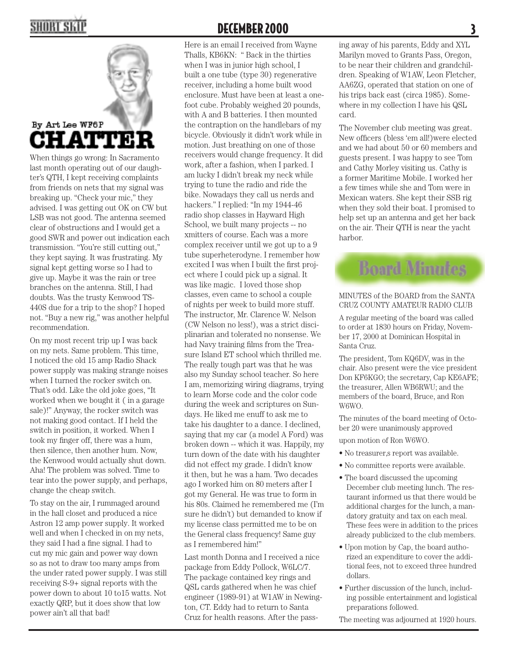

When things go wrong: In Sacramento last month operating out of our daughter's QTH, I kept receiving complaints from friends on nets that my signal was breaking up. "Check your mic," they advised. I was getting out OK on CW but LSB was not good. The antenna seemed clear of obstructions and I would get a good SWR and power out indication each transmission. "You're still cutting out," they kept saying. It was frustrating. My signal kept getting worse so I had to give up. Maybe it was the rain or tree branches on the antenna. Still, I had doubts. Was the trusty Kenwood TS-440S due for a trip to the shop? I hoped not. "Buy a new rig," was another helpful recommendation.

On my most recent trip up I was back on my nets. Same problem. This time, I noticed the old 15 amp Radio Shack power supply was making strange noises when I turned the rocker switch on. That's odd. Like the old joke goes, "It worked when we bought it ( in a garage sale)!" Anyway, the rocker switch was not making good contact. If I held the switch in position, it worked. When I took my finger off, there was a hum, then silence, then another hum. Now, the Kenwood would actually shut down. Aha! The problem was solved. Time to tear into the power supply, and perhaps, change the cheap switch.

To stay on the air, I rummaged around in the hall closet and produced a nice Astron 12 amp power supply. It worked well and when I checked in on my nets, they said I had a fine signal. I had to cut my mic gain and power way down so as not to draw too many amps from the under rated power supply. I was still receiving S-9+ signal reports with the power down to about 10 to15 watts. Not exactly QRP, but it does show that low power ain't all that bad!

#### DECEMBER 2000

Here is an email I received from Wayne Thalls, KB6KN: " Back in the thirties when I was in junior high school, I built a one tube (type 30) regenerative receiver, including a home built wood enclosure. Must have been at least a onefoot cube. Probably weighed 20 pounds, with A and B batteries. I then mounted the contraption on the handlebars of my bicycle. Obviously it didn't work while in motion. Just breathing on one of those receivers would change frequency. It did work, after a fashion, when I parked. I am lucky I didn't break my neck while trying to tune the radio and ride the bike. Nowadays they call us nerds and hackers." I replied: "In my 1944-46 radio shop classes in Hayward High School, we built many projects -- no xmitters of course. Each was a more complex receiver until we got up to a 9 tube superheterodyne. I remember how excited I was when I built the first project where I could pick up a signal. It was like magic. I loved those shop classes, even came to school a couple of nights per week to build more stuff. The instructor, Mr. Clarence W. Nelson (CW Nelson no less!), was a strict disciplinarian and tolerated no nonsense. We had Navy training films from the Treasure Island ET school which thrilled me. The really tough part was that he was also my Sunday school teacher. So here I am, memorizing wiring diagrams, trying to learn Morse code and the color code during the week and scriptures on Sundays. He liked me enuff to ask me to take his daughter to a dance. I declined, saying that my car (a model A Ford) was broken down -- which it was. Happily, my turn down of the date with his daughter did not effect my grade. I didn't know it then, but he was a ham. Two decades ago I worked him on 80 meters after I got my General. He was true to form in his 80s. Claimed he remembered me (I'm sure he didn't) but demanded to know if my license class permitted me to be on the General class frequency! Same guy as I remembered him!"

Last month Donna and I received a nice package from Eddy Pollock, W6LC/7. The package contained key rings and QSL cards gathered when he was chief engineer (1989-91) at W1AW in Newington, CT. Eddy had to return to Santa Cruz for health reasons. After the pass-

ing away of his parents, Eddy and XYL Marilyn moved to Grants Pass, Oregon, to be near their children and grandchildren. Speaking of W1AW, Leon Fletcher, AA6ZG, operated that station on one of his trips back east (circa 1985). Somewhere in my collection I have his QSL card.

The November club meeting was great. New officers (bless 'em all!) were elected and we had about 50 or 60 members and guests present. I was happy to see Tom and Cathy Morley visiting us. Cathy is a former Maritime Mobile. I worked her a few times while she and Tom were in Mexican waters. She kept their SSB rig when they sold their boat. I promised to help set up an antenna and get her back on the air. Their QTH is near the yacht harbor.

## **Board Minutes**

#### MINUTES of the BOARD from the SANTA CRUZ COUNTY AMATEUR RADIO CLUB

A regular meeting of the board was called to order at 1830 hours on Friday, November 17, 2000 at Dominican Hospital in Santa Cruz.

The president, Tom KQ6DV, was in the chair. Also present were the vice president Don KF6KGO; the secretary, Cap KE6AFE; the treasurer, Allen WB6RWU; and the members of the board, Bruce, and Ron W6WO.

The minutes of the board meeting of October 20 were unanimously approved

upon motion of Ron W6WO.

- No treasurer, s report was available.
- No committee reports were available.
- The board discussed the upcoming December club meeting lunch. The restaurant informed us that there would be additional charges for the lunch, a mandatory gratuity and tax on each meal. These fees were in addition to the prices already publicized to the club members.
- Upon motion by Cap, the board authorized an expenditure to cover the additional fees, not to exceed three hundred dollars.
- Further discussion of the lunch, including possible entertainment and logistical preparations followed.

The meeting was adjourned at 1920 hours.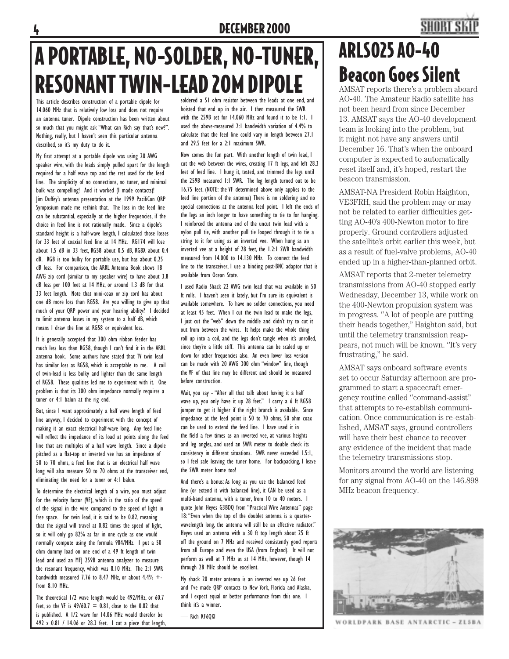#### DECEMBER 2000

## **SHORT SK**

## A PORTABLE, NO-SOLDER, NO-TUNER, RESONANT TWIN-LEAD 20M DIPOLE

This article describes construction of a portable dipole for 14.060 MHz that is relatively low loss and does not require an antenna tuner. Dipole construction has been written about so much that you might ask "What can Rich say that's new?". Nothing, really, but I haven't seen this particular antenna described, so it's my duty to do it.

My first attempt at a portable dipole was using 20 AWG speaker wire, with the leads simply pulled apart for the length required for a half wave top and the rest used for the feed line. The simplicity of no connections, no tuner, and minimal bulk was compelling! And it worked (I made contacts)! Jim Duffey's antenna presentation at the 1999 PacifiCon QRP Symposium made me rethink that. The loss in the feed line can be substantial, especially at the higher frequencies, if the choice in feed line is not rationally made. Since a dipole's standard height is a half-wave length, I calculated those losses for 33 feet of coaxial feed line at 14 MHz. RG174 will lose about 1.5 dB in 33 feet, RG58 about 0.5 dB, RG8X about 0.4 dB. RG8 is too bulky for portable use, but has about 0.25 dB loss. For comparison, the ARRL Antenna Book shows 18 AWG zip cord (similar to my speaker wire) to have about 3.8 dB loss per 100 feet at 14 MHz, or around 1.3 dB for that 33 feet length. Note that mini-coax or zip cord has about one dB more loss than RG58. Are you willing to give up that much of your QRP power and your hearing ability? I decided to limit antenna losses in my system to a half dB, which means I draw the line at RG58 or equivalent loss.

It is generally accepted that 300 ohm ribbon feeder has much less loss than RG58, though I can't find it in the ARRL antenna book. Some authors have stated that TV twin lead has similar loss as RG58, which is acceptable to me. A coil of twin-lead is less bulky and lighter than the same length of RG58. These qualities led me to experiment with it. One problem is that its 300 ohm impedance normally requires a tuner or 4:1 balun at the rig end.

But, since I want approximately a half wave length of feed line anyway, I decided to experiment with the concept of making it an exact electrical half-wave long. Any feed line will reflect the impedance of its load at points along the feed line that are multiples of a half wave length. Since a dipole pitched as a flat-top or inverted vee has an impedance of 50 to 70 ohms, a feed line that is an electrical half wave long will also measure 50 to 70 ohms at the transceiver end, eliminating the need for a tuner or 4:1 balun.

To determine the electrical length of a wire, you must adjust for the velocity factor (VF), which is the ratio of the speed of the signal in the wire compared to the speed of light in free space. For twin lead, it is said to be 0.82, meaning that the signal will travel at 0.82 times the speed of light, so it will only go 82% as far in one cycle as one would normally compute using the formula 984/MHz. I put a 50 ohm dummy load on one end of a 49 ft length of twin lead and used an MFJ 259B antenna analyzer to measure the resonant frequency, which was 8.10 MHz. The 2:1 SWR bandwidth measured 7.76 to 8.47 MHz, or about  $4.4\%$  +from 8.10 MHz.

The theoretical 1/2 wave length would be 492/MHz, or 60.7 feet, so the VF is  $49/60.7 = 0.81$ , close to the 0.82 that is published. A 1/2 wave for 14.06 MHz would therefor be 492 x 0.81 / 14.06 or 28.3 feet. I cut a piece that length,

soldered a 51 ohm resistor between the leads at one end, and hoisted that end up in the air. I then measured the SWR with the 259B set for 14.060 MHz and found it to be 1:1. I used the above-measured 2:1 bandwidth variation of 4.4% to calculate that the feed line could vary in length between 27.1 and 29.5 feet for a 2:1 maximum SWR.

Now comes the fun part. With another length of twin lead, I cut the web between the wires, creating 17 ft legs, and left 28.3 feet of feed line. I hung it, tested, and trimmed the legs until the 259B measured 1:1 SWR. The leg length turned out to be 16.75 feet. (NOTE: the VF determined above only applies to the feed line portion of the antenna) There is no soldering and no special connections at the antenna feed point. I left the ends of the legs an inch longer to have something to tie to for hanging. I reinforced the antenna end of the uncut twin lead with a nylon pull tie, with another pull tie looped through it to tie a string to it for using as an inverted vee. When hung as an inverted vee at a height of 28 feet, the 1.2:1 SWR bandwidth measured from 14.000 to 14.130 MHz. To connect the feed line to the transceiver, I use a binding post-BNC adaptor that is available from Ocean State.

I used Radio Shack 22 AWG twin lead that was available in 50 ft rolls. I haven't seen it lately, but I'm sure its equivalent is available somewhere. To have no solder connections, you need at least 45 feet. When I cut the twin lead to make the legs, I just cut the "web" down the middle and didn't try to cut it out from between the wires. It helps make the whole thing roll up into a coil, and the legs don't tangle when it's unrolled, since they're a little stiff. This antenna can be scaled up or down for other frequencies also. An even lower loss version can be made with 20 AWG 300 ohm "window" line, though the VF of that line may be different and should be measured before construction.

Wait, you say - "After all that talk about having it a half wave up, you only have it up 28 feet." I carry a 6 ft RG58 jumper to get it higher if the right branch is available. Since impedance at the feed point is 50 to 70 ohms, 50 ohm coax can be used to extend the feed line. I have used it in the field a few times as an inverted vee, at various heights and leg angles, and used an SWR meter to double check its consistency in different situations. SWR never exceeded 1.5:1, so I feel safe leaving the tuner home. For backpacking, I leave the SWR meter home too!

And there's a bonus: As long as you use the balanced feed line (or extend it with balanced line), it CAN be used as a multi-band antenna, with a tuner, from 10 to 40 meters. I quote John Heyes G3BDQ from "Practical Wire Antennas" page 18: "Even when the top of the doublet antenna is a quarterwavelength long, the antenna will still be an effective radiator." Heyes used an antenna with a 30 ft top length about 25 ft off the ground on 7 MHz and received consistently good reports from all Europe and even the USA (from England). It will not perform as well at 7 MHz as at 14 MHz, however, though 14 through 28 MHz should be excellent.

My shack 20 meter antenna is an inverted vee up 26 feet and I've made QRP contacts to New York, Florida and Alaska, and I expect equal or better performance from this one. I think it's a winner.

— Rich KF6QKI

## ARLS025 AO-40 Beacon Goes Silent

AMSAT reports there's a problem aboard AO-40. The Amateur Radio satellite has not been heard from since December 13. AMSAT says the AO-40 development team is looking into the problem, but it might not have any answers until December 16. That's when the onboard computer is expected to automatically reset itself and, it's hoped, restart the beacon transmission.

AMSAT-NA President Robin Haighton, VE3FRH, said the problem may or may not be related to earlier difficulties getting AO-40's 400-Newton motor to fire properly. Ground controllers adjusted the satellite's orbit earlier this week, but as a result of fuel-valve problems, AO-40 ended up in a higher-than-planned orbit.

AMSAT reports that 2-meter telemetry transmissions from AO-40 stopped early Wednesday, December 13, while work on the 400-Newton propulsion system was in progress. ''A lot of people are putting their heads together,'' Haighton said, but until the telemetry transmission reappears, not much will be known. ''It's very frustrating,'' he said.

AMSAT says onboard software events set to occur Saturday afternoon are programmed to start a spacecraft emergency routine called ''command-assist'' that attempts to re-establish communication. Once communication is re-established, AMSAT says, ground controllers will have their best chance to recover any evidence of the incident that made the telemetry transmissions stop.

Monitors around the world are listening for any signal from AO-40 on the 146.898 MHz beacon frequency.



WORLDPARK BASE ANTARCTIC - ZL5BA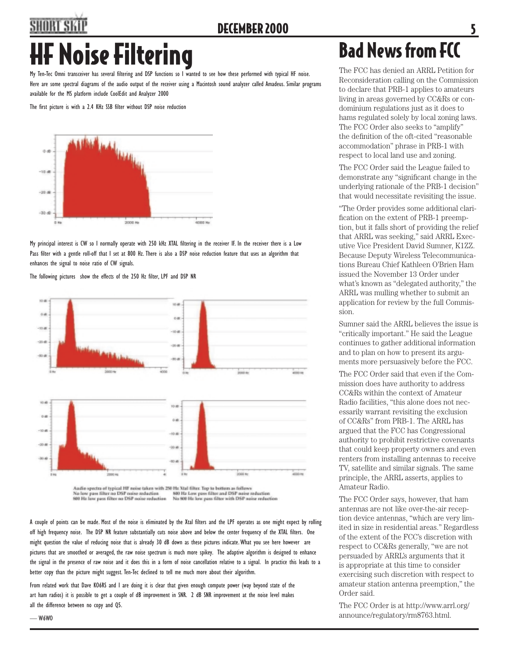## SHORT SK HF Noise Filtering Bad News from FCC

My Ten-Tec Omni transceiver has several filtering and DSP functions so I wanted to see how these performed with typical HF noise. Here are some spectral diagrams of the audio output of the receiver using a Macintosh sound analyzer called Amadeus. Similar programs available for the MS platform include CoolEdit and Analyzer 2000

The first picture is with a 2.4 KHz SSB filter without DSP noise reduction



My principal interest is CW so I normally operate with 250 kHz XTAL filtering in the receiver IF. In the receiver there is a Low Pass filter with a gentle roll-off that I set at 800 Hz. There is also a DSP noise reduction feature that uses an algorithm that enhances the signal to noise ratio of CW signals.

The following pictures show the effects of the 250 Hz filter, LPF and DSP NR



No low pass filter no DSP noise reduction<br>800 Hz low pass filter no DSP noise reduction

— W6WO

800 Hz Low pass filter and DSP noise reduction<br>No 800 Hz low pass filter with DSP noise reduction

A couple of points can be made. Most of the noise is eliminated by the Xtal filters and the LPF operates as one might expect by rolling off high frequency noise. The DSP NR feature substantially cuts noise above and below the center frequency of the XTAL filters. One might question the value of reducing noise that is already 30 dB down as these pictures indicate. What you see here however are pictures that are smoothed or averaged, the raw noise spectrum is much more spikey. The adaptive algorithm is designed to enhance the signal in the presence of raw noise and it does this in a form of noise cancellation relative to a signal. In practice this leads to a better copy than the picture might suggest. Ten-Tec declined to tell me much more about their algorithm.

From related work that Dave KO6RS and I are doing it is clear that given enough compute power (way beyond state of the art ham radios) it is possible to get a couple of dB improvement in SNR. 2 dB SNR improvement at the noise level makes all the difference between no copy and Q5.

The FCC has denied an ARRL Petition for Reconsideration calling on the Commission to declare that PRB-1 applies to amateurs living in areas governed by CC&Rs or condominium regulations just as it does to hams regulated solely by local zoning laws. The FCC Order also seeks to "amplify" the definition of the oft-cited "reasonable accommodation" phrase in PRB-1 with respect to local land use and zoning.

The FCC Order said the League failed to demonstrate any "significant change in the underlying rationale of the PRB-1 decision" that would necessitate revisiting the issue.

"The Order provides some additional clarification on the extent of PRB-1 preemption, but it falls short of providing the relief that ARRL was seeking," said ARRL Executive Vice President David Sumner, K1ZZ. Because Deputy Wireless Telecommunications Bureau Chief Kathleen O'Brien Ham issued the November 13 Order under what's known as "delegated authority," the ARRL was mulling whether to submit an application for review by the full Commission.

Sumner said the ARRL believes the issue is "critically important." He said the League continues to gather additional information and to plan on how to present its arguments more persuasively before the FCC.

The FCC Order said that even if the Commission does have authority to address CC&Rs within the context of Amateur Radio facilities, "this alone does not necessarily warrant revisiting the exclusion of CC&Rs" from PRB-1. The ARRL has argued that the FCC has Congressional authority to prohibit restrictive covenants that could keep property owners and even renters from installing antennas to receive TV, satellite and similar signals. The same principle, the ARRL asserts, applies to Amateur Radio.

The FCC Order says, however, that ham antennas are not like over-the-air reception device antennas, "which are very limited in size in residential areas." Regardless of the extent of the FCC's discretion with respect to CC&Rs generally, "we are not persuaded by ARRL's arguments that it is appropriate at this time to consider exercising such discretion with respect to amateur station antenna preemption," the Order said.

The FCC Order is at http://www.arrl.org/ announce/regulatory/rm8763.html.